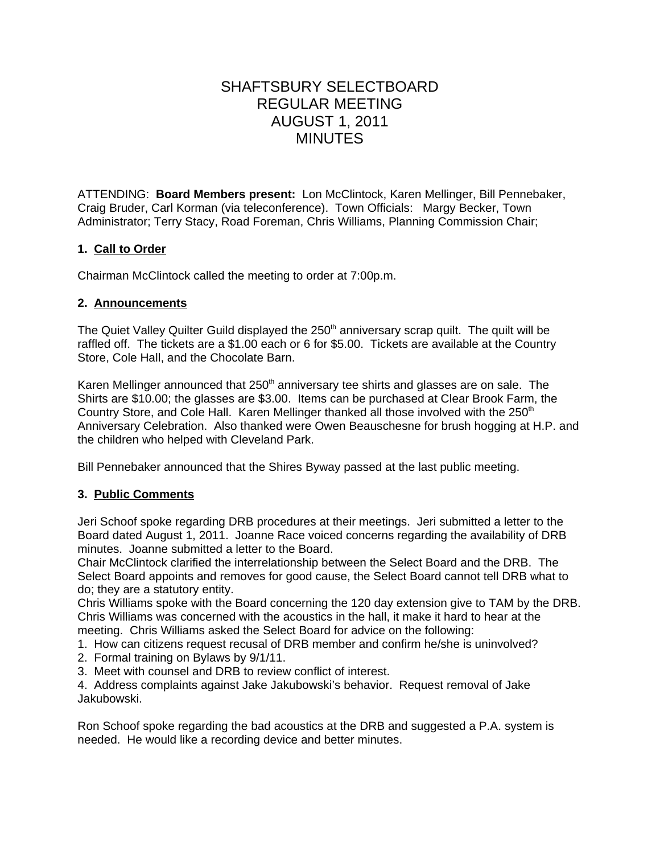# SHAFTSBURY SELECTBOARD REGULAR MEETING AUGUST 1, 2011 MINUTES

ATTENDING: **Board Members present:** Lon McClintock, Karen Mellinger, Bill Pennebaker, Craig Bruder, Carl Korman (via teleconference). Town Officials: Margy Becker, Town Administrator; Terry Stacy, Road Foreman, Chris Williams, Planning Commission Chair;

# **1. Call to Order**

Chairman McClintock called the meeting to order at 7:00p.m.

#### **2. Announcements**

The Quiet Valley Quilter Guild displayed the  $250<sup>th</sup>$  anniversary scrap quilt. The quilt will be raffled off. The tickets are a \$1.00 each or 6 for \$5.00. Tickets are available at the Country Store, Cole Hall, and the Chocolate Barn.

Karen Mellinger announced that  $250<sup>th</sup>$  anniversary tee shirts and glasses are on sale. The Shirts are \$10.00; the glasses are \$3.00. Items can be purchased at Clear Brook Farm, the Country Store, and Cole Hall. Karen Mellinger thanked all those involved with the  $250<sup>th</sup>$ Anniversary Celebration. Also thanked were Owen Beauschesne for brush hogging at H.P. and the children who helped with Cleveland Park.

Bill Pennebaker announced that the Shires Byway passed at the last public meeting.

#### **3. Public Comments**

Jeri Schoof spoke regarding DRB procedures at their meetings. Jeri submitted a letter to the Board dated August 1, 2011. Joanne Race voiced concerns regarding the availability of DRB minutes. Joanne submitted a letter to the Board.

Chair McClintock clarified the interrelationship between the Select Board and the DRB. The Select Board appoints and removes for good cause, the Select Board cannot tell DRB what to do; they are a statutory entity.

Chris Williams spoke with the Board concerning the 120 day extension give to TAM by the DRB. Chris Williams was concerned with the acoustics in the hall, it make it hard to hear at the meeting. Chris Williams asked the Select Board for advice on the following:

- 1. How can citizens request recusal of DRB member and confirm he/she is uninvolved?
- 2. Formal training on Bylaws by 9/1/11.
- 3. Meet with counsel and DRB to review conflict of interest.

4. Address complaints against Jake Jakubowski's behavior. Request removal of Jake Jakubowski.

Ron Schoof spoke regarding the bad acoustics at the DRB and suggested a P.A. system is needed. He would like a recording device and better minutes.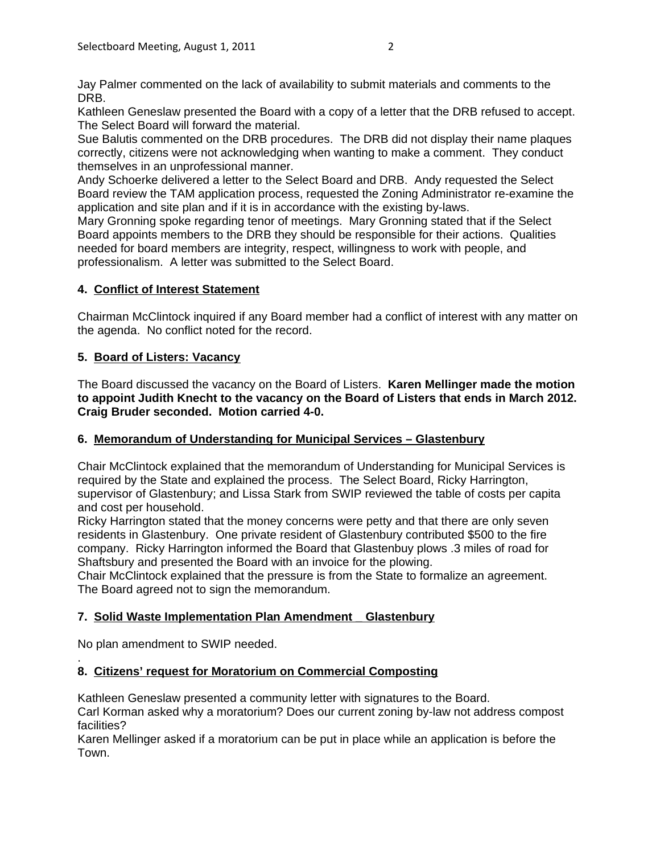Jay Palmer commented on the lack of availability to submit materials and comments to the DRB.

Kathleen Geneslaw presented the Board with a copy of a letter that the DRB refused to accept. The Select Board will forward the material.

Sue Balutis commented on the DRB procedures. The DRB did not display their name plaques correctly, citizens were not acknowledging when wanting to make a comment. They conduct themselves in an unprofessional manner.

Andy Schoerke delivered a letter to the Select Board and DRB. Andy requested the Select Board review the TAM application process, requested the Zoning Administrator re-examine the application and site plan and if it is in accordance with the existing by-laws.

Mary Gronning spoke regarding tenor of meetings. Mary Gronning stated that if the Select Board appoints members to the DRB they should be responsible for their actions. Qualities needed for board members are integrity, respect, willingness to work with people, and professionalism. A letter was submitted to the Select Board.

# **4. Conflict of Interest Statement**

Chairman McClintock inquired if any Board member had a conflict of interest with any matter on the agenda. No conflict noted for the record.

#### **5. Board of Listers: Vacancy**

The Board discussed the vacancy on the Board of Listers. **Karen Mellinger made the motion to appoint Judith Knecht to the vacancy on the Board of Listers that ends in March 2012. Craig Bruder seconded. Motion carried 4-0.**

#### **6. Memorandum of Understanding for Municipal Services – Glastenbury**

Chair McClintock explained that the memorandum of Understanding for Municipal Services is required by the State and explained the process. The Select Board, Ricky Harrington, supervisor of Glastenbury; and Lissa Stark from SWIP reviewed the table of costs per capita and cost per household.

Ricky Harrington stated that the money concerns were petty and that there are only seven residents in Glastenbury. One private resident of Glastenbury contributed \$500 to the fire company. Ricky Harrington informed the Board that Glastenbuy plows .3 miles of road for Shaftsbury and presented the Board with an invoice for the plowing.

Chair McClintock explained that the pressure is from the State to formalize an agreement. The Board agreed not to sign the memorandum.

# **7. Solid Waste Implementation Plan Amendment \_ Glastenbury**

No plan amendment to SWIP needed.

#### . **8. Citizens' request for Moratorium on Commercial Composting**

Kathleen Geneslaw presented a community letter with signatures to the Board.

Carl Korman asked why a moratorium? Does our current zoning by-law not address compost facilities?

Karen Mellinger asked if a moratorium can be put in place while an application is before the Town.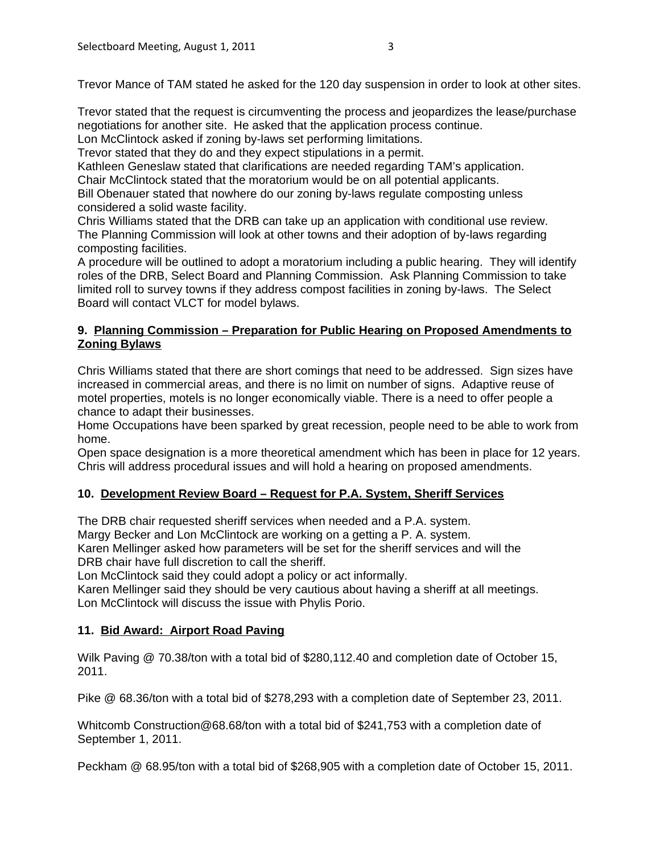Trevor Mance of TAM stated he asked for the 120 day suspension in order to look at other sites.

Trevor stated that the request is circumventing the process and jeopardizes the lease/purchase negotiations for another site. He asked that the application process continue.

Lon McClintock asked if zoning by-laws set performing limitations.

Trevor stated that they do and they expect stipulations in a permit.

Kathleen Geneslaw stated that clarifications are needed regarding TAM's application.

Chair McClintock stated that the moratorium would be on all potential applicants.

Bill Obenauer stated that nowhere do our zoning by-laws regulate composting unless considered a solid waste facility.

Chris Williams stated that the DRB can take up an application with conditional use review. The Planning Commission will look at other towns and their adoption of by-laws regarding composting facilities.

A procedure will be outlined to adopt a moratorium including a public hearing. They will identify roles of the DRB, Select Board and Planning Commission. Ask Planning Commission to take limited roll to survey towns if they address compost facilities in zoning by-laws. The Select Board will contact VLCT for model bylaws.

#### **9. Planning Commission – Preparation for Public Hearing on Proposed Amendments to Zoning Bylaws**

Chris Williams stated that there are short comings that need to be addressed. Sign sizes have increased in commercial areas, and there is no limit on number of signs. Adaptive reuse of motel properties, motels is no longer economically viable. There is a need to offer people a chance to adapt their businesses.

Home Occupations have been sparked by great recession, people need to be able to work from home.

Open space designation is a more theoretical amendment which has been in place for 12 years. Chris will address procedural issues and will hold a hearing on proposed amendments.

#### **10. Development Review Board – Request for P.A. System, Sheriff Services**

The DRB chair requested sheriff services when needed and a P.A. system.

Margy Becker and Lon McClintock are working on a getting a P. A. system.

Karen Mellinger asked how parameters will be set for the sheriff services and will the DRB chair have full discretion to call the sheriff.

Lon McClintock said they could adopt a policy or act informally.

Karen Mellinger said they should be very cautious about having a sheriff at all meetings. Lon McClintock will discuss the issue with Phylis Porio.

#### **11. Bid Award: Airport Road Paving**

Wilk Paving @ 70.38/ton with a total bid of \$280,112.40 and completion date of October 15, 2011.

Pike @ 68.36/ton with a total bid of \$278,293 with a completion date of September 23, 2011.

Whitcomb Construction@68.68/ton with a total bid of \$241,753 with a completion date of September 1, 2011.

Peckham @ 68.95/ton with a total bid of \$268,905 with a completion date of October 15, 2011.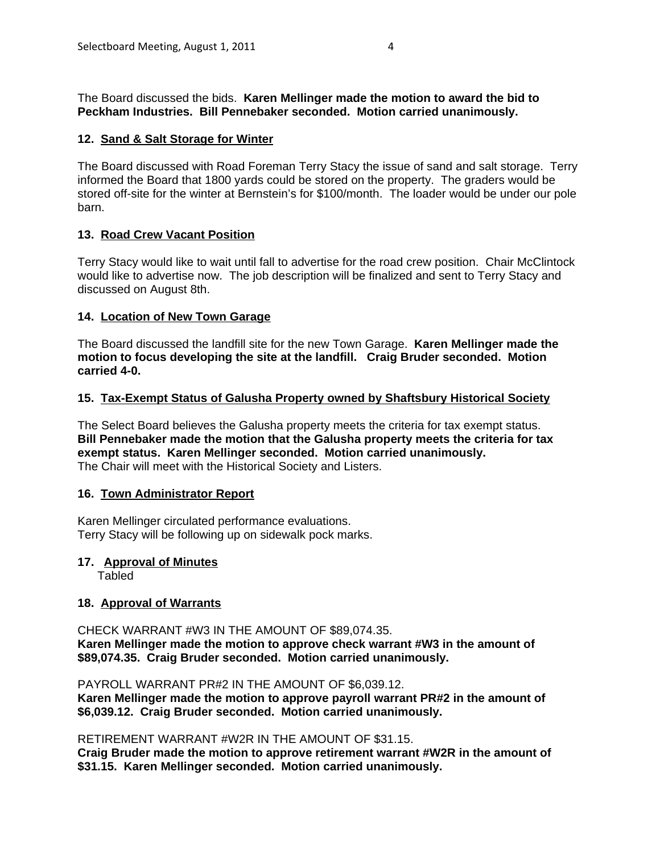The Board discussed the bids. **Karen Mellinger made the motion to award the bid to Peckham Industries. Bill Pennebaker seconded. Motion carried unanimously.**

### **12. Sand & Salt Storage for Winter**

The Board discussed with Road Foreman Terry Stacy the issue of sand and salt storage. Terry informed the Board that 1800 yards could be stored on the property. The graders would be stored off-site for the winter at Bernstein's for \$100/month. The loader would be under our pole barn.

#### **13. Road Crew Vacant Position**

Terry Stacy would like to wait until fall to advertise for the road crew position. Chair McClintock would like to advertise now. The job description will be finalized and sent to Terry Stacy and discussed on August 8th.

# **14. Location of New Town Garage**

The Board discussed the landfill site for the new Town Garage. **Karen Mellinger made the motion to focus developing the site at the landfill. Craig Bruder seconded. Motion carried 4-0.**

#### **15. Tax-Exempt Status of Galusha Property owned by Shaftsbury Historical Society**

The Select Board believes the Galusha property meets the criteria for tax exempt status. **Bill Pennebaker made the motion that the Galusha property meets the criteria for tax exempt status. Karen Mellinger seconded. Motion carried unanimously.** The Chair will meet with the Historical Society and Listers.

#### **16. Town Administrator Report**

Karen Mellinger circulated performance evaluations. Terry Stacy will be following up on sidewalk pock marks.

#### **17. Approval of Minutes**

Tabled

#### **18. Approval of Warrants**

CHECK WARRANT #W3 IN THE AMOUNT OF \$89,074.35. **Karen Mellinger made the motion to approve check warrant #W3 in the amount of \$89,074.35. Craig Bruder seconded. Motion carried unanimously.**

PAYROLL WARRANT PR#2 IN THE AMOUNT OF \$6,039.12.

**Karen Mellinger made the motion to approve payroll warrant PR#2 in the amount of \$6,039.12. Craig Bruder seconded. Motion carried unanimously.**

RETIREMENT WARRANT #W2R IN THE AMOUNT OF \$31.15.

**Craig Bruder made the motion to approve retirement warrant #W2R in the amount of \$31.15. Karen Mellinger seconded. Motion carried unanimously.**